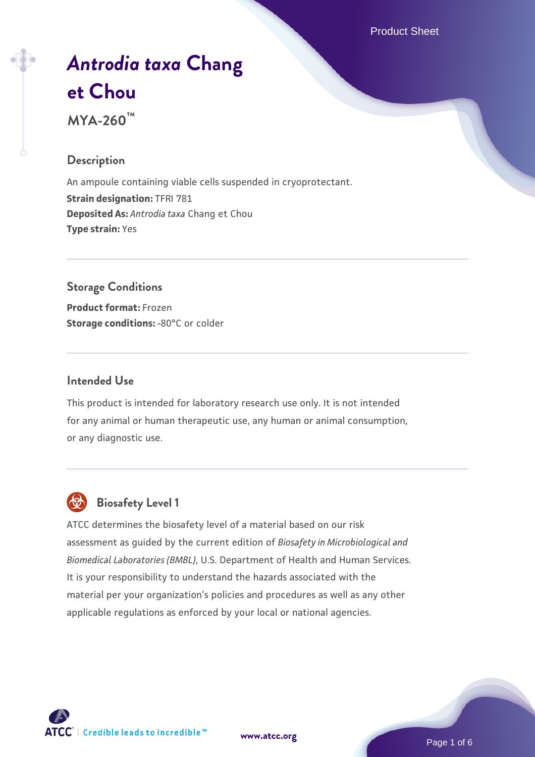Product Sheet

# *[Antrodia taxa](https://www.atcc.org/products/mya-260)* **[Chang](https://www.atcc.org/products/mya-260) [et Chou](https://www.atcc.org/products/mya-260) MYA-260™**

## **Description**

An ampoule containing viable cells suspended in cryoprotectant. **Strain designation:** TFRI 781 **Deposited As:** *Antrodia taxa* Chang et Chou **Type strain:** Yes

# **Storage Conditions**

**Product format:** Frozen **Storage conditions: -80°C or colder** 

#### **Intended Use**

This product is intended for laboratory research use only. It is not intended for any animal or human therapeutic use, any human or animal consumption, or any diagnostic use.



# **Biosafety Level 1**

ATCC determines the biosafety level of a material based on our risk assessment as guided by the current edition of *Biosafety in Microbiological and Biomedical Laboratories (BMBL)*, U.S. Department of Health and Human Services. It is your responsibility to understand the hazards associated with the material per your organization's policies and procedures as well as any other applicable regulations as enforced by your local or national agencies.



**[www.atcc.org](http://www.atcc.org)**

Page 1 of 6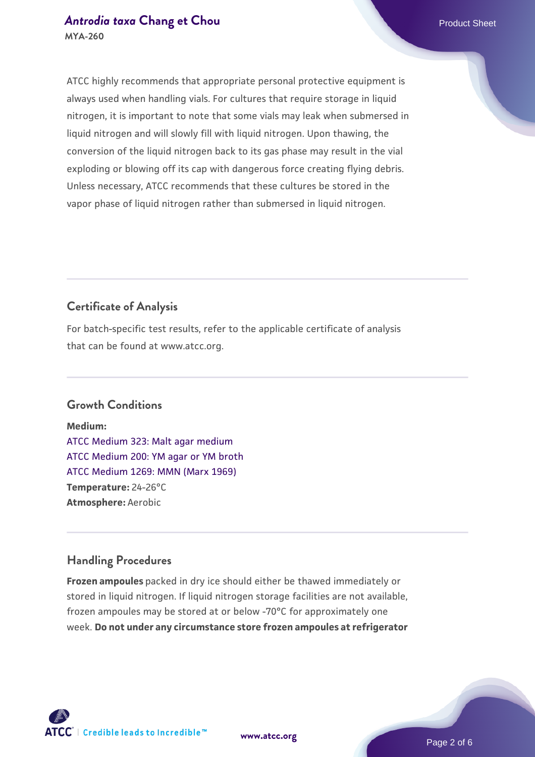#### *[Antrodia taxa](https://www.atcc.org/products/mya-260)* **[Chang et Chou](https://www.atcc.org/products/mya-260) <b>Product Sheet** Product Sheet **MYA-260**

ATCC highly recommends that appropriate personal protective equipment is always used when handling vials. For cultures that require storage in liquid nitrogen, it is important to note that some vials may leak when submersed in liquid nitrogen and will slowly fill with liquid nitrogen. Upon thawing, the conversion of the liquid nitrogen back to its gas phase may result in the vial exploding or blowing off its cap with dangerous force creating flying debris. Unless necessary, ATCC recommends that these cultures be stored in the vapor phase of liquid nitrogen rather than submersed in liquid nitrogen.

# **Certificate of Analysis**

For batch-specific test results, refer to the applicable certificate of analysis that can be found at www.atcc.org.

# **Growth Conditions**

**Medium:**  [ATCC Medium 323: Malt agar medium](https://www.atcc.org/-/media/product-assets/documents/microbial-media-formulations/3/2/3/atcc-medium-323.pdf?rev=58d6457ee20149d7a1c844947569ef92) [ATCC Medium 200: YM agar or YM broth](https://www.atcc.org/-/media/product-assets/documents/microbial-media-formulations/2/0/0/atcc-medium-200.pdf?rev=ac40fd74dc13433a809367b0b9da30fc) [ATCC Medium 1269: MMN \(Marx 1969\)](https://www.atcc.org/-/media/product-assets/documents/microbial-media-formulations/1/2/6/9/atcc-medium-1269.pdf?rev=afcf8eba0bad4acbb85bc31250856791) **Temperature:** 24-26°C **Atmosphere:** Aerobic

# **Handling Procedures**

**Frozen ampoules** packed in dry ice should either be thawed immediately or stored in liquid nitrogen. If liquid nitrogen storage facilities are not available, frozen ampoules may be stored at or below -70°C for approximately one week. **Do not under any circumstance store frozen ampoules at refrigerator**



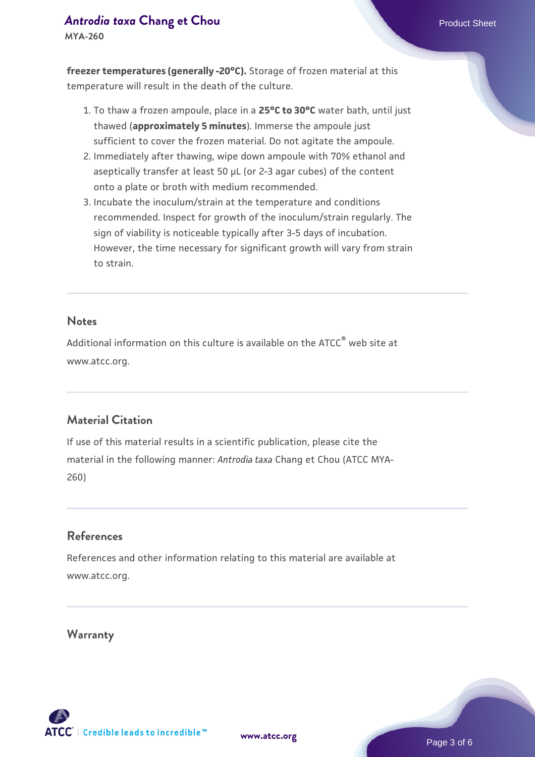## *[Antrodia taxa](https://www.atcc.org/products/mya-260)* **[Chang et Chou](https://www.atcc.org/products/mya-260) <b>Product Sheet** Product Sheet

**MYA-260**

**freezer temperatures (generally -20°C).** Storage of frozen material at this temperature will result in the death of the culture.

- 1. To thaw a frozen ampoule, place in a **25°C to 30°C** water bath, until just thawed (**approximately 5 minutes**). Immerse the ampoule just sufficient to cover the frozen material. Do not agitate the ampoule.
- 2. Immediately after thawing, wipe down ampoule with 70% ethanol and aseptically transfer at least 50 µL (or 2-3 agar cubes) of the content onto a plate or broth with medium recommended.
- 3. Incubate the inoculum/strain at the temperature and conditions recommended. Inspect for growth of the inoculum/strain regularly. The sign of viability is noticeable typically after 3-5 days of incubation. However, the time necessary for significant growth will vary from strain to strain.

#### **Notes**

Additional information on this culture is available on the ATCC<sup>®</sup> web site at www.atcc.org.

# **Material Citation**

If use of this material results in a scientific publication, please cite the material in the following manner: *Antrodia taxa* Chang et Chou (ATCC MYA-260)

#### **References**

References and other information relating to this material are available at www.atcc.org.

#### **Warranty**

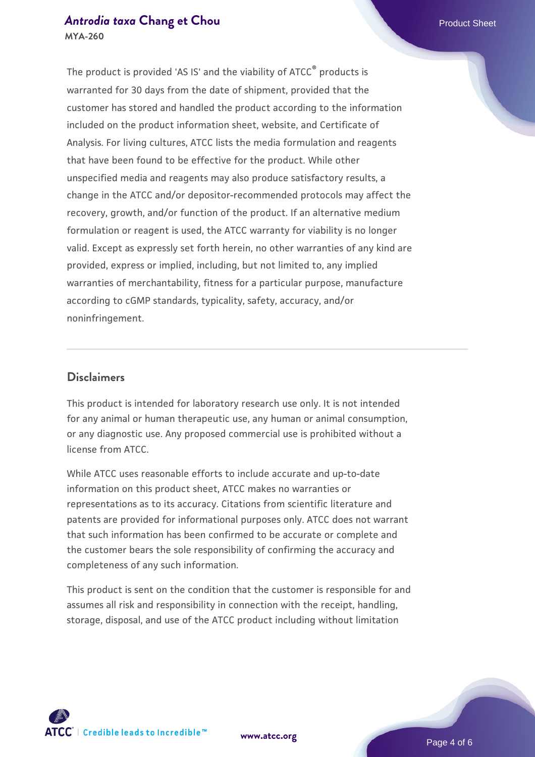# *[Antrodia taxa](https://www.atcc.org/products/mya-260)* **[Chang et Chou](https://www.atcc.org/products/mya-260) <b>Product Sheet** Product Sheet

**MYA-260**

The product is provided 'AS IS' and the viability of ATCC® products is warranted for 30 days from the date of shipment, provided that the customer has stored and handled the product according to the information included on the product information sheet, website, and Certificate of Analysis. For living cultures, ATCC lists the media formulation and reagents that have been found to be effective for the product. While other unspecified media and reagents may also produce satisfactory results, a change in the ATCC and/or depositor-recommended protocols may affect the recovery, growth, and/or function of the product. If an alternative medium formulation or reagent is used, the ATCC warranty for viability is no longer valid. Except as expressly set forth herein, no other warranties of any kind are provided, express or implied, including, but not limited to, any implied warranties of merchantability, fitness for a particular purpose, manufacture according to cGMP standards, typicality, safety, accuracy, and/or noninfringement.

#### **Disclaimers**

This product is intended for laboratory research use only. It is not intended for any animal or human therapeutic use, any human or animal consumption, or any diagnostic use. Any proposed commercial use is prohibited without a license from ATCC.

While ATCC uses reasonable efforts to include accurate and up-to-date information on this product sheet, ATCC makes no warranties or representations as to its accuracy. Citations from scientific literature and patents are provided for informational purposes only. ATCC does not warrant that such information has been confirmed to be accurate or complete and the customer bears the sole responsibility of confirming the accuracy and completeness of any such information.

This product is sent on the condition that the customer is responsible for and assumes all risk and responsibility in connection with the receipt, handling, storage, disposal, and use of the ATCC product including without limitation



**[www.atcc.org](http://www.atcc.org)**

Page 4 of 6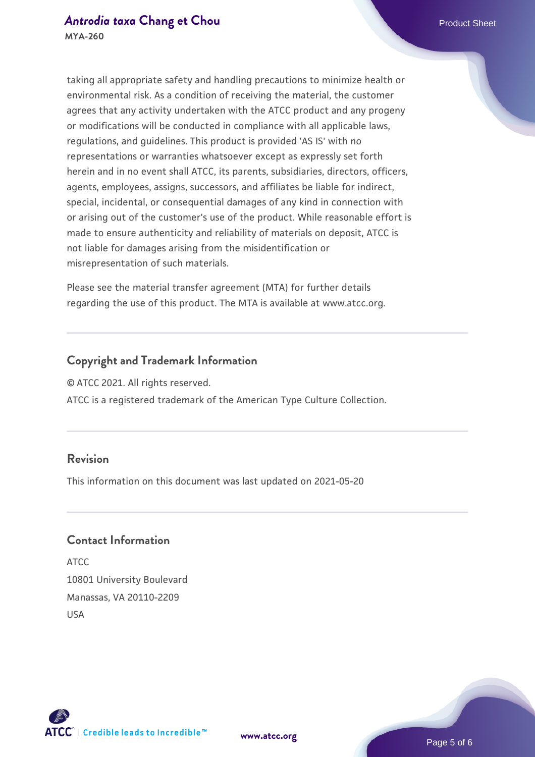taking all appropriate safety and handling precautions to minimize health or environmental risk. As a condition of receiving the material, the customer agrees that any activity undertaken with the ATCC product and any progeny or modifications will be conducted in compliance with all applicable laws, regulations, and guidelines. This product is provided 'AS IS' with no representations or warranties whatsoever except as expressly set forth herein and in no event shall ATCC, its parents, subsidiaries, directors, officers, agents, employees, assigns, successors, and affiliates be liable for indirect, special, incidental, or consequential damages of any kind in connection with or arising out of the customer's use of the product. While reasonable effort is made to ensure authenticity and reliability of materials on deposit, ATCC is not liable for damages arising from the misidentification or misrepresentation of such materials.

Please see the material transfer agreement (MTA) for further details regarding the use of this product. The MTA is available at www.atcc.org.

## **Copyright and Trademark Information**

© ATCC 2021. All rights reserved.

ATCC is a registered trademark of the American Type Culture Collection.

#### **Revision**

This information on this document was last updated on 2021-05-20

#### **Contact Information**

ATCC 10801 University Boulevard Manassas, VA 20110-2209 USA